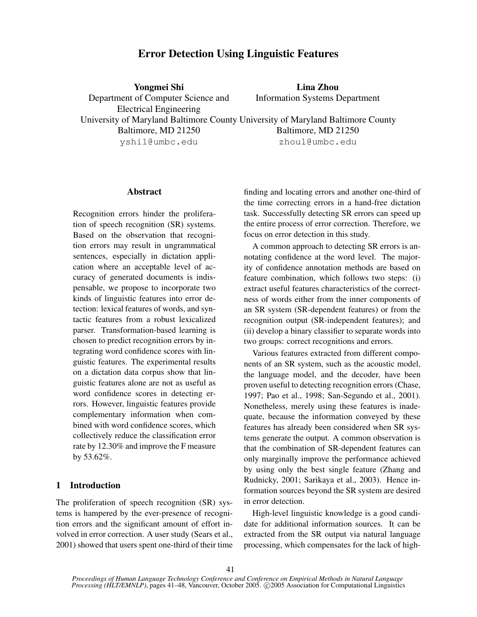# Error Detection Using Linguistic Features

Yongmei Shi Department of Computer Science and Electrical Engineering University of Maryland Baltimore County University of Maryland Baltimore County Baltimore, MD 21250 yshi1@umbc.edu

Lina Zhou Information Systems Department

> Baltimore, MD 21250 zhoul@umbc.edu

finding and locating errors and another one-third of the time correcting errors in a hand-free dictation task. Successfully detecting SR errors can speed up the entire process of error correction. Therefore, we

focus on error detection in this study.

A common approach to detecting SR errors is annotating confidence at the word level. The majority of confidence annotation methods are based on feature combination, which follows two steps: (i) extract useful features characteristics of the correctness of words either from the inner components of an SR system (SR-dependent features) or from the recognition output (SR-independent features); and (ii) develop a binary classifier to separate words into two groups: correct recognitions and errors.

Various features extracted from different components of an SR system, such as the acoustic model, the language model, and the decoder, have been proven useful to detecting recognition errors (Chase, 1997; Pao et al., 1998; San-Segundo et al., 2001). Nonetheless, merely using these features is inadequate, because the information conveyed by these features has already been considered when SR systems generate the output. A common observation is that the combination of SR-dependent features can only marginally improve the performance achieved by using only the best single feature (Zhang and Rudnicky, 2001; Sarikaya et al., 2003). Hence information sources beyond the SR system are desired in error detection.

High-level linguistic knowledge is a good candidate for additional information sources. It can be extracted from the SR output via natural language processing, which compensates for the lack of high-

#### Abstract

Recognition errors hinder the proliferation of speech recognition (SR) systems. Based on the observation that recognition errors may result in ungrammatical sentences, especially in dictation application where an acceptable level of accuracy of generated documents is indispensable, we propose to incorporate two kinds of linguistic features into error detection: lexical features of words, and syntactic features from a robust lexicalized parser. Transformation-based learning is chosen to predict recognition errors by integrating word confidence scores with linguistic features. The experimental results on a dictation data corpus show that linguistic features alone are not as useful as word confidence scores in detecting errors. However, linguistic features provide complementary information when combined with word confidence scores, which collectively reduce the classification error rate by 12.30% and improve the F measure by 53.62%.

# 1 Introduction

The proliferation of speech recognition (SR) systems is hampered by the ever-presence of recognition errors and the significant amount of effort involved in error correction. A user study (Sears et al., 2001) showed that users spent one-third of their time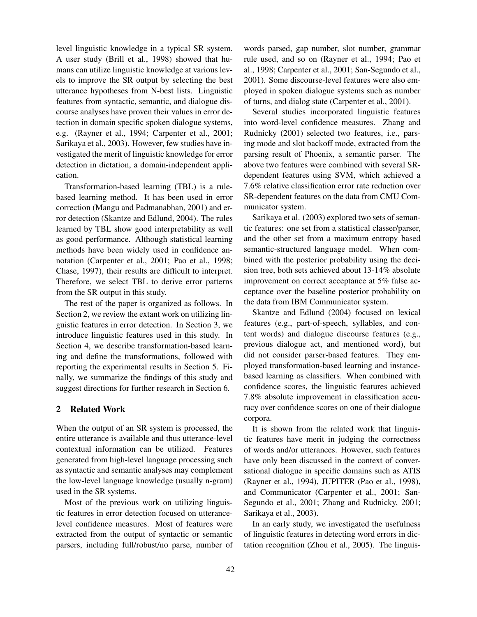level linguistic knowledge in a typical SR system. A user study (Brill et al., 1998) showed that humans can utilize linguistic knowledge at various levels to improve the SR output by selecting the best utterance hypotheses from N-best lists. Linguistic features from syntactic, semantic, and dialogue discourse analyses have proven their values in error detection in domain specific spoken dialogue systems, e.g. (Rayner et al., 1994; Carpenter et al., 2001; Sarikaya et al., 2003). However, few studies have investigated the merit of linguistic knowledge for error detection in dictation, a domain-independent application.

Transformation-based learning (TBL) is a rulebased learning method. It has been used in error correction (Mangu and Padmanabhan, 2001) and error detection (Skantze and Edlund, 2004). The rules learned by TBL show good interpretability as well as good performance. Although statistical learning methods have been widely used in confidence annotation (Carpenter et al., 2001; Pao et al., 1998; Chase, 1997), their results are difficult to interpret. Therefore, we select TBL to derive error patterns from the SR output in this study.

The rest of the paper is organized as follows. In Section 2, we review the extant work on utilizing linguistic features in error detection. In Section 3, we introduce linguistic features used in this study. In Section 4, we describe transformation-based learning and define the transformations, followed with reporting the experimental results in Section 5. Finally, we summarize the findings of this study and suggest directions for further research in Section 6.

# 2 Related Work

When the output of an SR system is processed, the entire utterance is available and thus utterance-level contextual information can be utilized. Features generated from high-level language processing such as syntactic and semantic analyses may complement the low-level language knowledge (usually n-gram) used in the SR systems.

Most of the previous work on utilizing linguistic features in error detection focused on utterancelevel confidence measures. Most of features were extracted from the output of syntactic or semantic parsers, including full/robust/no parse, number of words parsed, gap number, slot number, grammar rule used, and so on (Rayner et al., 1994; Pao et al., 1998; Carpenter et al., 2001; San-Segundo et al., 2001). Some discourse-level features were also employed in spoken dialogue systems such as number of turns, and dialog state (Carpenter et al., 2001).

Several studies incorporated linguistic features into word-level confidence measures. Zhang and Rudnicky (2001) selected two features, i.e., parsing mode and slot backoff mode, extracted from the parsing result of Phoenix, a semantic parser. The above two features were combined with several SRdependent features using SVM, which achieved a 7.6% relative classification error rate reduction over SR-dependent features on the data from CMU Communicator system.

Sarikaya et al. (2003) explored two sets of semantic features: one set from a statistical classer/parser, and the other set from a maximum entropy based semantic-structured language model. When combined with the posterior probability using the decision tree, both sets achieved about 13-14% absolute improvement on correct acceptance at 5% false acceptance over the baseline posterior probability on the data from IBM Communicator system.

Skantze and Edlund (2004) focused on lexical features (e.g., part-of-speech, syllables, and content words) and dialogue discourse features (e.g., previous dialogue act, and mentioned word), but did not consider parser-based features. They employed transformation-based learning and instancebased learning as classifiers. When combined with confidence scores, the linguistic features achieved 7.8% absolute improvement in classification accuracy over confidence scores on one of their dialogue corpora.

It is shown from the related work that linguistic features have merit in judging the correctness of words and/or utterances. However, such features have only been discussed in the context of conversational dialogue in specific domains such as ATIS (Rayner et al., 1994), JUPITER (Pao et al., 1998), and Communicator (Carpenter et al., 2001; San-Segundo et al., 2001; Zhang and Rudnicky, 2001; Sarikaya et al., 2003).

In an early study, we investigated the usefulness of linguistic features in detecting word errors in dictation recognition (Zhou et al., 2005). The linguis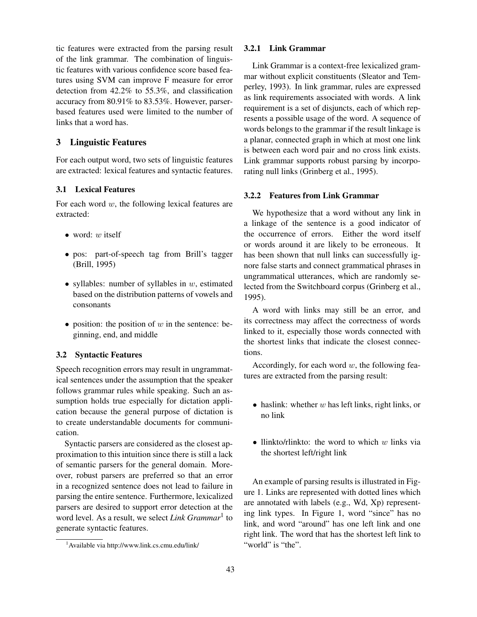tic features were extracted from the parsing result of the link grammar. The combination of linguistic features with various confidence score based features using SVM can improve F measure for error detection from 42.2% to 55.3%, and classification accuracy from 80.91% to 83.53%. However, parserbased features used were limited to the number of links that a word has.

# 3 Linguistic Features

For each output word, two sets of linguistic features are extracted: lexical features and syntactic features.

# 3.1 Lexical Features

For each word  $w$ , the following lexical features are extracted:

- word:  $w$  itself
- pos: part-of-speech tag from Brill's tagger (Brill, 1995)
- syllables: number of syllables in  $w$ , estimated based on the distribution patterns of vowels and consonants
- position: the position of  $w$  in the sentence: beginning, end, and middle

# 3.2 Syntactic Features

Speech recognition errors may result in ungrammatical sentences under the assumption that the speaker follows grammar rules while speaking. Such an assumption holds true especially for dictation application because the general purpose of dictation is to create understandable documents for communication.

Syntactic parsers are considered as the closest approximation to this intuition since there is still a lack of semantic parsers for the general domain. Moreover, robust parsers are preferred so that an error in a recognized sentence does not lead to failure in parsing the entire sentence. Furthermore, lexicalized parsers are desired to support error detection at the word level. As a result, we select *Link Grammar*<sup>1</sup> to generate syntactic features.

#### 3.2.1 Link Grammar

Link Grammar is a context-free lexicalized grammar without explicit constituents (Sleator and Temperley, 1993). In link grammar, rules are expressed as link requirements associated with words. A link requirement is a set of disjuncts, each of which represents a possible usage of the word. A sequence of words belongs to the grammar if the result linkage is a planar, connected graph in which at most one link is between each word pair and no cross link exists. Link grammar supports robust parsing by incorporating null links (Grinberg et al., 1995).

#### 3.2.2 Features from Link Grammar

We hypothesize that a word without any link in a linkage of the sentence is a good indicator of the occurrence of errors. Either the word itself or words around it are likely to be erroneous. It has been shown that null links can successfully ignore false starts and connect grammatical phrases in ungrammatical utterances, which are randomly selected from the Switchboard corpus (Grinberg et al., 1995).

A word with links may still be an error, and its correctness may affect the correctness of words linked to it, especially those words connected with the shortest links that indicate the closest connections.

Accordingly, for each word  $w$ , the following features are extracted from the parsing result:

- haslink: whether  $w$  has left links, right links, or no link
- llinkto/rlinkto: the word to which  $w$  links via the shortest left/right link

An example of parsing results is illustrated in Figure 1. Links are represented with dotted lines which are annotated with labels (e.g., Wd, Xp) representing link types. In Figure 1, word "since" has no link, and word "around" has one left link and one right link. The word that has the shortest left link to "world" is "the".

<sup>1</sup>Available via http://www.link.cs.cmu.edu/link/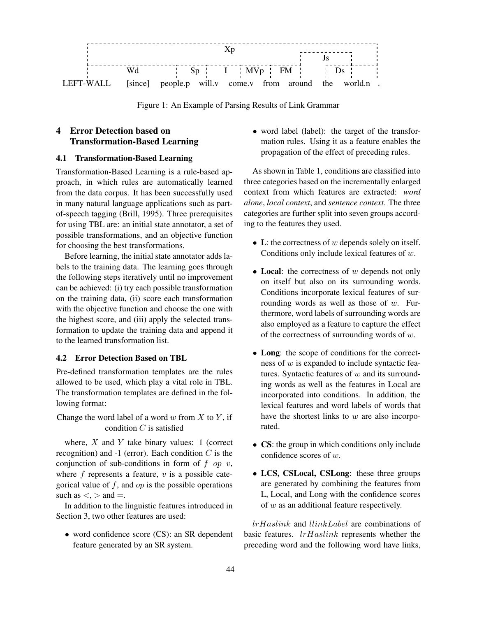

Figure 1: An Example of Parsing Results of Link Grammar

# 4 Error Detection based on Transformation-Based Learning

#### 4.1 Transformation-Based Learning

Transformation-Based Learning is a rule-based approach, in which rules are automatically learned from the data corpus. It has been successfully used in many natural language applications such as partof-speech tagging (Brill, 1995). Three prerequisites for using TBL are: an initial state annotator, a set of possible transformations, and an objective function for choosing the best transformations.

Before learning, the initial state annotator adds labels to the training data. The learning goes through the following steps iteratively until no improvement can be achieved: (i) try each possible transformation on the training data, (ii) score each transformation with the objective function and choose the one with the highest score, and (iii) apply the selected transformation to update the training data and append it to the learned transformation list.

#### 4.2 Error Detection Based on TBL

Pre-defined transformation templates are the rules allowed to be used, which play a vital role in TBL. The transformation templates are defined in the following format:

Change the word label of a word w from  $X$  to  $Y$ , if condition  $C$  is satisfied

where,  $X$  and  $Y$  take binary values: 1 (correct recognition) and  $-1$  (error). Each condition C is the conjunction of sub-conditions in form of  $f$  op  $v$ , where  $f$  represents a feature,  $v$  is a possible categorical value of  $f$ , and  $op$  is the possible operations such as  $\lt$ ,  $>$  and  $=$ .

In addition to the linguistic features introduced in Section 3, two other features are used:

• word confidence score (CS): an SR dependent feature generated by an SR system.

• word label (label): the target of the transformation rules. Using it as a feature enables the propagation of the effect of preceding rules.

As shown in Table 1, conditions are classified into three categories based on the incrementally enlarged context from which features are extracted: *word alone*, *local context*, and *sentence context*. The three categories are further split into seven groups according to the features they used.

- L: the correctness of  $w$  depends solely on itself. Conditions only include lexical features of w.
- Local: the correctness of  $w$  depends not only on itself but also on its surrounding words. Conditions incorporate lexical features of surrounding words as well as those of  $w$ . Furthermore, word labels of surrounding words are also employed as a feature to capture the effect of the correctness of surrounding words of  $w$ .
- Long: the scope of conditions for the correctness of w is expanded to include syntactic features. Syntactic features of  $w$  and its surrounding words as well as the features in Local are incorporated into conditions. In addition, the lexical features and word labels of words that have the shortest links to  $w$  are also incorporated.
- CS: the group in which conditions only include confidence scores of w.
- LCS, CSLocal, CSLong: these three groups are generated by combining the features from L, Local, and Long with the confidence scores of  $w$  as an additional feature respectively.

lrHaslink and llinkLabel are combinations of basic features. lrHaslink represents whether the preceding word and the following word have links,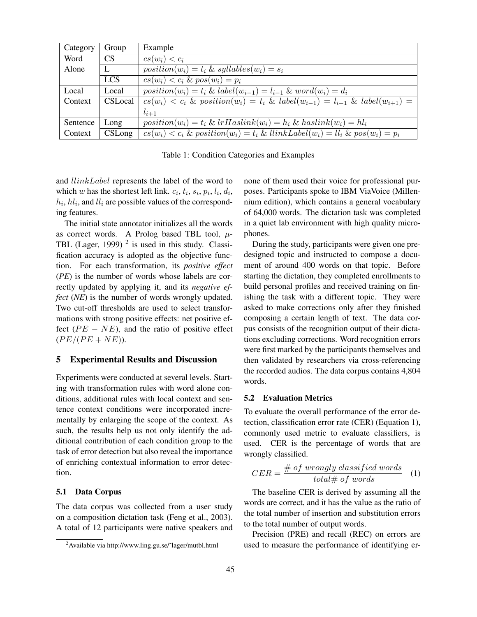| Category | Group      | Example                                                                                             |
|----------|------------|-----------------------------------------------------------------------------------------------------|
| Word     | <b>CS</b>  | $cs(w_i) < c_i$                                                                                     |
| Alone    | L          | $position(w_i) = t_i \& syllables(w_i) = s_i$                                                       |
|          | <b>LCS</b> | $cs(w_i) < c_i \& pos(w_i) = p_i$                                                                   |
| Local    | Local      | $position(w_i) = t_i \& label(w_{i-1}) = l_{i-1} \& word(w_i) = d_i$                                |
| Context  | CSLocal    | $cs(w_i) < c_i$ & position( $w_i$ ) = $t_i$ & label( $w_{i-1}$ ) = $l_{i-1}$ & label( $w_{i+1}$ ) = |
|          |            | $l_{i+1}$                                                                                           |
| Sentence | Long       | $position(w_i) = t_i \& irHashink(w_i) = h_i \& hashink(w_i) = hl_i$                                |
| Context  | CSLong     | $cs(w_i) < c_i$ & position( $w_i$ ) = $t_i$ & llinkLabel( $w_i$ ) = $ll_i$ & pos( $w_i$ ) = $p_i$   |

Table 1: Condition Categories and Examples

and llinkLabel represents the label of the word to which w has the shortest left link.  $c_i$ ,  $t_i$ ,  $s_i$ ,  $p_i$ ,  $l_i$ ,  $d_i$ ,  $h_i$ ,  $h_l$ , and  $l_l$  are possible values of the corresponding features.

The initial state annotator initializes all the words as correct words. A Prolog based TBL tool,  $\mu$ -TBL (Lager, 1999)<sup>2</sup> is used in this study. Classification accuracy is adopted as the objective function. For each transformation, its *positive effect* (*PE*) is the number of words whose labels are correctly updated by applying it, and its *negative effect* (*NE*) is the number of words wrongly updated. Two cut-off thresholds are used to select transformations with strong positive effects: net positive effect  $(PE - NE)$ , and the ratio of positive effect  $(P E/(PE + NE)).$ 

#### 5 Experimental Results and Discussion

Experiments were conducted at several levels. Starting with transformation rules with word alone conditions, additional rules with local context and sentence context conditions were incorporated incrementally by enlarging the scope of the context. As such, the results help us not only identify the additional contribution of each condition group to the task of error detection but also reveal the importance of enriching contextual information to error detection.

### 5.1 Data Corpus

The data corpus was collected from a user study on a composition dictation task (Feng et al., 2003). A total of 12 participants were native speakers and none of them used their voice for professional purposes. Participants spoke to IBM ViaVoice (Millennium edition), which contains a general vocabulary of 64,000 words. The dictation task was completed in a quiet lab environment with high quality microphones.

During the study, participants were given one predesigned topic and instructed to compose a document of around 400 words on that topic. Before starting the dictation, they completed enrollments to build personal profiles and received training on finishing the task with a different topic. They were asked to make corrections only after they finished composing a certain length of text. The data corpus consists of the recognition output of their dictations excluding corrections. Word recognition errors were first marked by the participants themselves and then validated by researchers via cross-referencing the recorded audios. The data corpus contains 4,804 words.

#### 5.2 Evaluation Metrics

To evaluate the overall performance of the error detection, classification error rate (CER) (Equation 1), commonly used metric to evaluate classifiers, is used. CER is the percentage of words that are wrongly classified.

$$
CER = \frac{\text{# of wrongly classified words}}{\text{total} \text{# of words}} \quad (1)
$$

The baseline CER is derived by assuming all the words are correct, and it has the value as the ratio of the total number of insertion and substitution errors to the total number of output words.

Precision (PRE) and recall (REC) on errors are used to measure the performance of identifying er-

 $^{2}$ Available via http://www.ling.gu.se/~lager/mutbl.html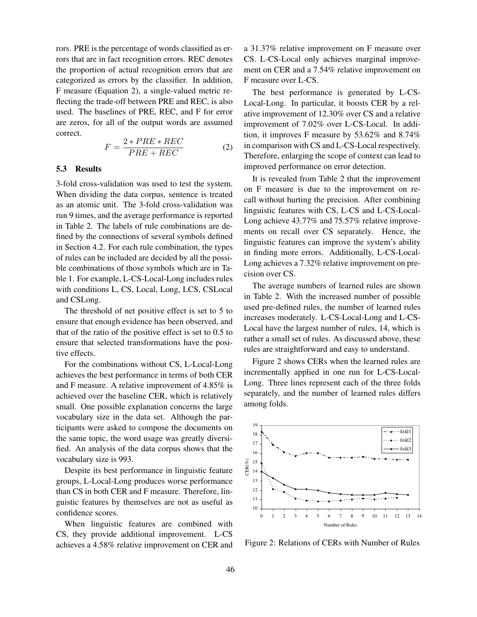rors. PRE is the percentage of words classified as errors that are in fact recognition errors. REC denotes the proportion of actual recognition errors that are categorized as errors by the classifier. In addition, F measure (Equation 2), a single-valued metric reflecting the trade-off between PRE and REC, is also used. The baselines of PRE, REC, and F for error are zeros, for all of the output words are assumed correct.

$$
F = \frac{2 * PRE * REC}{PRE + REC}
$$
 (2)

# 5.3 Results

3-fold cross-validation was used to test the system. When dividing the data corpus, sentence is treated as an atomic unit. The 3-fold cross-validation was run 9 times, and the average performance is reported in Table 2. The labels of rule combinations are defined by the connections of several symbols defined in Section 4.2. For each rule combination, the types of rules can be included are decided by all the possible combinations of those symbols which are in Table 1. For example, L-CS-Local-Long includes rules with conditions L, CS, Local, Long, LCS, CSLocal and CSLong.

The threshold of net positive effect is set to 5 to ensure that enough evidence has been observed, and that of the ratio of the positive effect is set to 0.5 to ensure that selected transformations have the positive effects.

For the combinations without CS, L-Local-Long achieves the best performance in terms of both CER and F measure. A relative improvement of 4.85% is achieved over the baseline CER, which is relatively small. One possible explanation concerns the large vocabulary size in the data set. Although the participants were asked to compose the documents on the same topic, the word usage was greatly diversified. An analysis of the data corpus shows that the vocabulary size is 993.

Despite its best performance in linguistic feature groups, L-Local-Long produces worse performance than CS in both CER and F measure. Therefore, linguistic features by themselves are not as useful as confidence scores.

When linguistic features are combined with CS, they provide additional improvement. L-CS achieves a 4.58% relative improvement on CER and

a 31.37% relative improvement on F measure over CS. L-CS-Local only achieves marginal improvement on CER and a 7.54% relative improvement on F measure over L-CS.

The best performance is generated by L-CS-Local-Long. In particular, it boosts CER by a relative improvement of 12.30% over CS and a relative improvement of 7.02% over L-CS-Local. In addition, it improves F measure by 53.62% and 8.74% in comparison with CS and L-CS-Local respectively. Therefore, enlarging the scope of context can lead to improved performance on error detection.

It is revealed from Table 2 that the improvement on F measure is due to the improvement on recall without hurting the precision. After combining linguistic features with CS, L-CS and L-CS-Local-Long achieve 43.77% and 75.57% relative improvements on recall over CS separately. Hence, the linguistic features can improve the system's ability in finding more errors. Additionally, L-CS-Local-Long achieves a 7.32% relative improvement on precision over CS.

The average numbers of learned rules are shown in Table 2. With the increased number of possible used pre-defined rules, the number of learned rules increases moderately. L-CS-Local-Long and L-CS-Local have the largest number of rules, 14, which is rather a small set of rules. As discussed above, these rules are straightforward and easy to understand.

Figure 2 shows CERs when the learned rules are incrementally applied in one run for L-CS-Local-Long. Three lines represent each of the three folds separately, and the number of learned rules differs among folds.



Figure 2: Relations of CERs with Number of Rules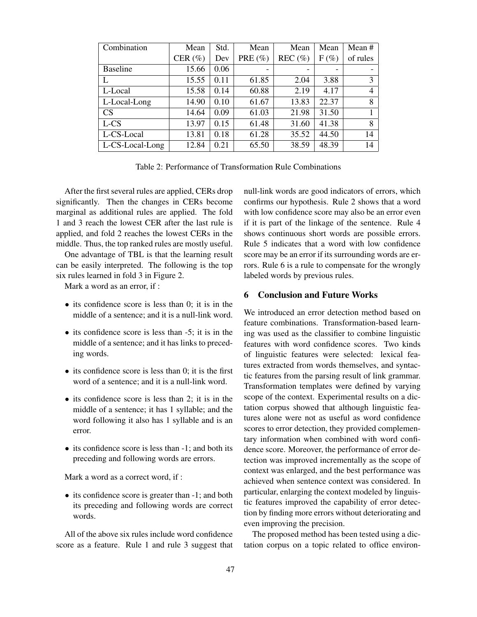| Combination     | Mean        | Std. | Mean        | Mean       | Mean    | Mean #   |
|-----------------|-------------|------|-------------|------------|---------|----------|
|                 | CER $(\% )$ | Dev  | PRE $(\% )$ | REC $(\%)$ | $F(\%)$ | of rules |
| <b>Baseline</b> | 15.66       | 0.06 | -           | -          |         |          |
| L               | 15.55       | 0.11 | 61.85       | 2.04       | 3.88    | 3        |
| L-Local         | 15.58       | 0.14 | 60.88       | 2.19       | 4.17    | 4        |
| L-Local-Long    | 14.90       | 0.10 | 61.67       | 13.83      | 22.37   | 8        |
| CS              | 14.64       | 0.09 | 61.03       | 21.98      | 31.50   |          |
| L-CS            | 13.97       | 0.15 | 61.48       | 31.60      | 41.38   | 8        |
| L-CS-Local      | 13.81       | 0.18 | 61.28       | 35.52      | 44.50   | 14       |
| L-CS-Local-Long | 12.84       | 0.21 | 65.50       | 38.59      | 48.39   | 14       |

Table 2: Performance of Transformation Rule Combinations

After the first several rules are applied, CERs drop significantly. Then the changes in CERs become marginal as additional rules are applied. The fold 1 and 3 reach the lowest CER after the last rule is applied, and fold 2 reaches the lowest CERs in the middle. Thus, the top ranked rules are mostly useful.

One advantage of TBL is that the learning result can be easily interpreted. The following is the top six rules learned in fold 3 in Figure 2.

Mark a word as an error, if :

- its confidence score is less than 0; it is in the middle of a sentence; and it is a null-link word.
- its confidence score is less than -5; it is in the middle of a sentence; and it has links to preceding words.
- its confidence score is less than 0; it is the first word of a sentence; and it is a null-link word.
- its confidence score is less than 2; it is in the middle of a sentence; it has 1 syllable; and the word following it also has 1 syllable and is an error.
- its confidence score is less than  $-1$ ; and both its preceding and following words are errors.

Mark a word as a correct word, if :

• its confidence score is greater than  $-1$ ; and both its preceding and following words are correct words.

All of the above six rules include word confidence score as a feature. Rule 1 and rule 3 suggest that

null-link words are good indicators of errors, which confirms our hypothesis. Rule 2 shows that a word with low confidence score may also be an error even if it is part of the linkage of the sentence. Rule 4 shows continuous short words are possible errors. Rule 5 indicates that a word with low confidence score may be an error if its surrounding words are errors. Rule 6 is a rule to compensate for the wrongly labeled words by previous rules.

# 6 Conclusion and Future Works

We introduced an error detection method based on feature combinations. Transformation-based learning was used as the classifier to combine linguistic features with word confidence scores. Two kinds of linguistic features were selected: lexical features extracted from words themselves, and syntactic features from the parsing result of link grammar. Transformation templates were defined by varying scope of the context. Experimental results on a dictation corpus showed that although linguistic features alone were not as useful as word confidence scores to error detection, they provided complementary information when combined with word confidence score. Moreover, the performance of error detection was improved incrementally as the scope of context was enlarged, and the best performance was achieved when sentence context was considered. In particular, enlarging the context modeled by linguistic features improved the capability of error detection by finding more errors without deteriorating and even improving the precision.

The proposed method has been tested using a dictation corpus on a topic related to office environ